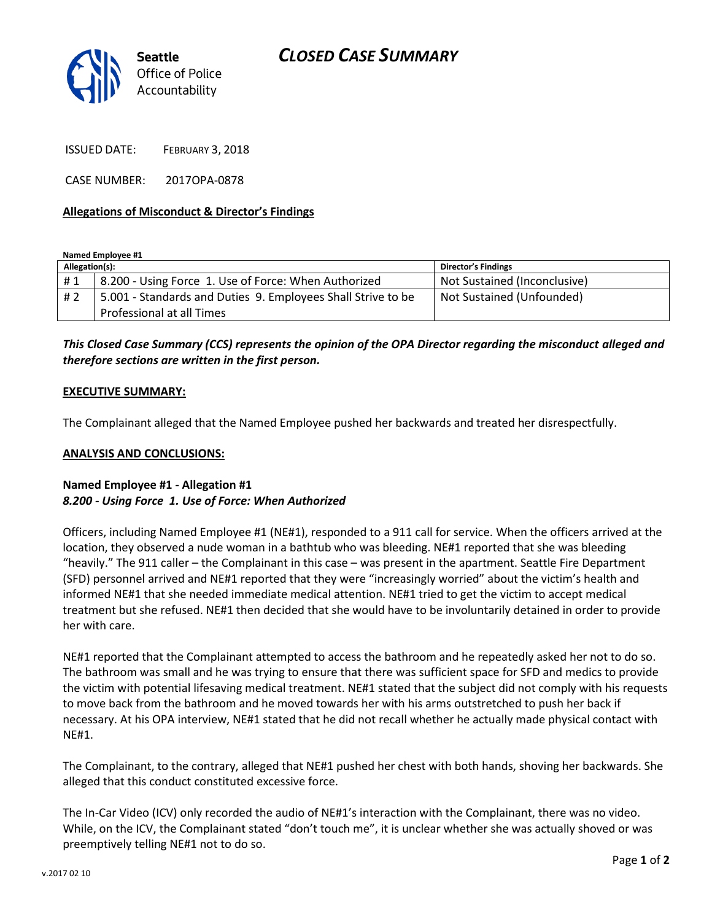# *CLOSED CASE SUMMARY*



ISSUED DATE: FEBRUARY 3, 2018

CASE NUMBER: 2017OPA-0878

#### **Allegations of Misconduct & Director's Findings**

**Named Employee #1**

| Allegation(s): |                                                              | <b>Director's Findings</b>   |
|----------------|--------------------------------------------------------------|------------------------------|
| #1             | 8.200 - Using Force 1. Use of Force: When Authorized         | Not Sustained (Inconclusive) |
| # 2            | 5.001 - Standards and Duties 9. Employees Shall Strive to be | Not Sustained (Unfounded)    |
|                | Professional at all Times                                    |                              |

*This Closed Case Summary (CCS) represents the opinion of the OPA Director regarding the misconduct alleged and therefore sections are written in the first person.* 

#### **EXECUTIVE SUMMARY:**

The Complainant alleged that the Named Employee pushed her backwards and treated her disrespectfully.

#### **ANALYSIS AND CONCLUSIONS:**

### **Named Employee #1 - Allegation #1** *8.200 - Using Force 1. Use of Force: When Authorized*

Officers, including Named Employee #1 (NE#1), responded to a 911 call for service. When the officers arrived at the location, they observed a nude woman in a bathtub who was bleeding. NE#1 reported that she was bleeding "heavily." The 911 caller – the Complainant in this case – was present in the apartment. Seattle Fire Department (SFD) personnel arrived and NE#1 reported that they were "increasingly worried" about the victim's health and informed NE#1 that she needed immediate medical attention. NE#1 tried to get the victim to accept medical treatment but she refused. NE#1 then decided that she would have to be involuntarily detained in order to provide her with care.

NE#1 reported that the Complainant attempted to access the bathroom and he repeatedly asked her not to do so. The bathroom was small and he was trying to ensure that there was sufficient space for SFD and medics to provide the victim with potential lifesaving medical treatment. NE#1 stated that the subject did not comply with his requests to move back from the bathroom and he moved towards her with his arms outstretched to push her back if necessary. At his OPA interview, NE#1 stated that he did not recall whether he actually made physical contact with NE#1.

The Complainant, to the contrary, alleged that NE#1 pushed her chest with both hands, shoving her backwards. She alleged that this conduct constituted excessive force.

The In-Car Video (ICV) only recorded the audio of NE#1's interaction with the Complainant, there was no video. While, on the ICV, the Complainant stated "don't touch me", it is unclear whether she was actually shoved or was preemptively telling NE#1 not to do so.